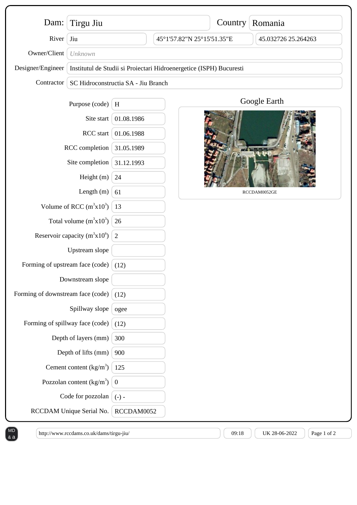| Dam:                                                                                                                       | Tirgu Jiu                                                                               |              |                            | Country | Romania             |
|----------------------------------------------------------------------------------------------------------------------------|-----------------------------------------------------------------------------------------|--------------|----------------------------|---------|---------------------|
| River                                                                                                                      | Jiu                                                                                     |              | 45°1'57.82"N 25°15'51.35"E |         | 45.032726 25.264263 |
| Owner/Client                                                                                                               | Unknown                                                                                 |              |                            |         |                     |
|                                                                                                                            | Designer/Engineer   Institutul de Studii si Proiectari Hidroenergetice (ISPH) Bucuresti |              |                            |         |                     |
| Contractor                                                                                                                 | SC Hidroconstructia SA - Jiu Branch                                                     |              |                            |         |                     |
|                                                                                                                            | Purpose (code)                                                                          | H            |                            |         | Google Earth        |
| Site start<br>RCC start<br>RCC completion                                                                                  |                                                                                         | 01.08.1986   |                            |         |                     |
|                                                                                                                            |                                                                                         | 01.06.1988   |                            |         |                     |
|                                                                                                                            |                                                                                         | 31.05.1989   |                            |         |                     |
| Site completion                                                                                                            |                                                                                         | 31.12.1993   |                            |         |                     |
| Height (m)                                                                                                                 |                                                                                         | 24           |                            |         |                     |
| Length $(m)$                                                                                                               |                                                                                         | 61           |                            |         | RCCDAM0052GE        |
| Volume of RCC $(m^3x10^3)$                                                                                                 |                                                                                         | 13           |                            |         |                     |
| Total volume $(m^3x10^3)$                                                                                                  |                                                                                         | 26           |                            |         |                     |
| Reservoir capacity $(m^3x10^6)$                                                                                            |                                                                                         | 2            |                            |         |                     |
| Upstream slope                                                                                                             |                                                                                         |              |                            |         |                     |
| Forming of upstream face (code)                                                                                            |                                                                                         | (12)         |                            |         |                     |
| Downstream slope                                                                                                           |                                                                                         |              |                            |         |                     |
| Forming of downstream face (code)                                                                                          |                                                                                         | (12)         |                            |         |                     |
| Spillway slope                                                                                                             |                                                                                         | ogee         |                            |         |                     |
| Forming of spillway face (code)                                                                                            |                                                                                         | (12)         |                            |         |                     |
| Depth of layers (mm)<br>Depth of lifts (mm)<br>Cement content $(kg/m3)$<br>Pozzolan content $(kg/m3)$<br>Code for pozzolan |                                                                                         | 300          |                            |         |                     |
|                                                                                                                            |                                                                                         | 900          |                            |         |                     |
|                                                                                                                            |                                                                                         | 125          |                            |         |                     |
|                                                                                                                            |                                                                                         | $\mathbf{0}$ |                            |         |                     |
|                                                                                                                            |                                                                                         | $(-) -$      |                            |         |                     |
|                                                                                                                            | RCCDAM Unique Serial No.                                                                | RCCDAM0052   |                            |         |                     |

& a